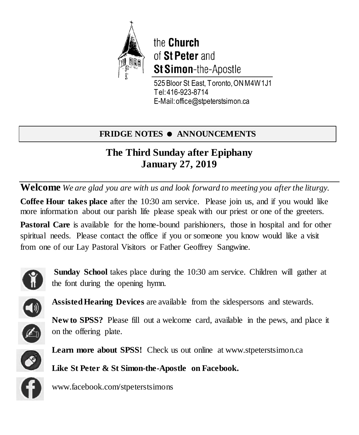

the Church of St Peter and St Simon-the-Apostle

525 Bloor St East, Toronto, ON M4W 1J1 Tel: 416-923-8714 E-Mail: office@stpeterstsimon.ca

## **FRIDGE NOTES**  $\bullet$  **ANNOUNCEMENTS**

## **The Third Sunday after Epiphany January 27, 2019**

**Welcome** *We are glad you are with us and look forward to meeting you after the liturgy.*

**Coffee Hour takes place** after the 10:30 am service. Please join us, and if you would like more information about our parish life please speak with our priest or one of the greeters.

Pastoral Care is available for the home-bound parishioners, those in hospital and for other spiritual needs. Please contact the office if you or someone you know would like a visit from one of our Lay Pastoral Visitors or Father Geoffrey Sangwine.



**Sunday School** takes place during the 10:30 am service. Children will gather at the font during the opening hymn.



**Assisted Hearing Devices** are available from the sidespersons and stewards.

**New to SPSS?** Please fill out a welcome card, available in the pews, and place it on the offering plate.



Learn more about SPSS! Check us out online at www.stpeterstsimon.ca

**Like St Peter & St Simon-the-Apostle on Facebook.** 



www.facebook.com/stpeterstsimons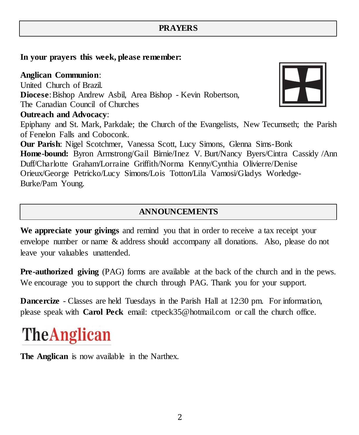## **PRAYERS**

#### **In your prayers this week, please remember:**

#### **Anglican Communion**:

United Church of Brazil. **Diocese**:Bishop Andrew Asbil, Area Bishop - Kevin Robertson, The Canadian Council of Churches **Outreach and Advocacy**: Epiphany and St. Mark, Parkdale; the Church of the Evangelists, New Tecumseth; the Parish of Fenelon Falls and Coboconk. **Our Parish**: Nigel Scotchmer, Vanessa Scott, Lucy Simons, Glenna Sims-Bonk **Home-bound:** Byron Armstrong/Gail Birnie/Inez V. Burt/Nancy Byers/Cintra Cassidy /Ann Duff/Charlotte Graham/Lorraine Griffith/Norma Kenny/Cynthia Olivierre/Denise Orieux/George Petricko/Lucy Simons/Lois Totton/Lila Vamosi/Gladys Worledge-Burke/Pam Young.

## **ANNOUNCEMENTS**

**We appreciate your givings** and remind you that in order to receive a tax receipt your envelope number or name & address should accompany all donations. Also, please do not leave your valuables unattended.

**Pre-authorized giving** (PAG) forms are available at the back of the church and in the pews. We encourage you to support the church through PAG. Thank you for your support.

**Dancercize** - Classes are held Tuesdays in the Parish Hall at 12:30 pm. For information, please speak with **Carol Peck** email: ctpeck35@hotmail.com or call the church office.

# **The Anglican**

**The Anglican** is now available in the Narthex.

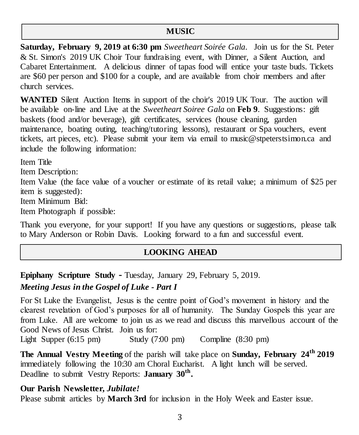#### **MUSIC**

**Saturday, February 9, 2019 at 6:30 pm** *Sweetheart Soirée Gala.* Join us for the St. Peter & St. Simon's 2019 UK Choir Tour fundraising event, with Dinner, a Silent Auction, and Cabaret Entertainment. A delicious dinner of tapas food will entice your taste buds. Tickets are \$60 per person and \$100 for a couple, and are available from choir members and after church services.

**WANTED** Silent Auction Items in support of the choir's 2019 UK Tour. The auction will be available on-line and Live at the *Sweetheart Soiree Gala* on **Feb 9**. Suggestions: gift baskets (food and/or beverage), gift certificates, services (house cleaning, garden maintenance, boating outing, teaching/tutoring lessons), restaurant or Spa vouchers, event tickets, art pieces, etc). Please submit your item via email to music@stpeterstsimon.ca and include the following information:

Item Title

Item Description:

Item Value (the face value of a voucher or estimate of its retail value; a minimum of \$25 per item is suggested):

Item Minimum Bid:

Item Photograph if possible:

Thank you everyone, for your support! If you have any questions or suggestions, please talk to Mary Anderson or Robin Davis. Looking forward to a fun and successful event.

## **LOOKING AHEAD**

**Epiphany Scripture Study -** Tuesday, January 29, February 5, 2019.

## *Meeting Jesus in the Gospel of Luke - Part I*

For St Luke the Evangelist, Jesus is the centre point of God's movement in history and the clearest revelation of God's purposes for all of humanity. The Sunday Gospels this year are from Luke. All are welcome to join us as we read and discuss this marvellous account of the Good News of Jesus Christ. Join us for:

Light Supper (6:15 pm) Study (7:00 pm) Compline (8:30 pm)

**The Annual Vestry Meeting** of the parish will take place on **Sunday, February 24th 2019** immediately following the 10:30 am Choral Eucharist. A light lunch will be served. Deadline to submit Vestry Reports: **January 30th .**

### **Our Parish Newsletter,** *Jubilate!*

Please submit articles by **March 3rd** for inclusion in the Holy Week and Easter issue.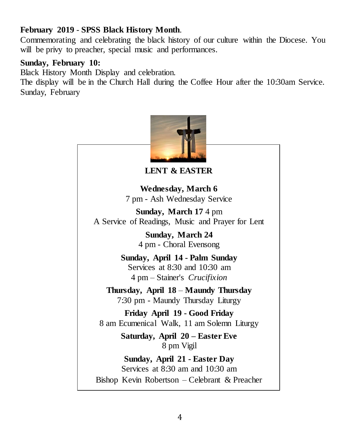## **February 2019** - **SPSS Black History Month**.

Commemorating and celebrating the black history of our culture within the Diocese. You will be privy to preacher, special music and performances.

## **Sunday, February 10:**

Black History Month Display and celebration.

The display will be in the Church Hall during the Coffee Hour after the 10:30am Service. Sunday, February

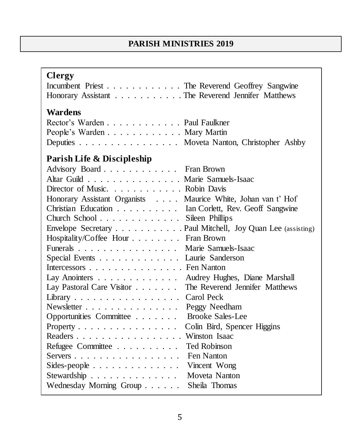## **PARISH MINISTRIES 2019**

## **Clergy**

| Incumbent Priest The Reverend Geoffrey Sangwine   |  |
|---------------------------------------------------|--|
| Honorary Assistant The Reverend Jennifer Matthews |  |

## **Wardens**

| Rector's Warden Paul Faulkner             |  |
|-------------------------------------------|--|
| People's Warden Mary Martin               |  |
| Deputies Moveta Nanton, Christopher Ashby |  |

## **Parish Life & Discipleship**

| Advisory Board Fran Brown                                        |                             |
|------------------------------------------------------------------|-----------------------------|
| Altar Guild Marie Samuels-Isaac                                  |                             |
| Director of Music. Robin Davis                                   |                             |
| Honorary Assistant Organists Maurice White, Johan van t' Hof     |                             |
| Christian Education Tan Corlett, Rev. Geoff Sangwine             |                             |
| Church School Sileen Phillips                                    |                             |
| Envelope Secretary Paul Mitchell, Joy Quan Lee (assisting)       |                             |
| Hospitality/Coffee Hour Fran Brown                               |                             |
| Funerals Marie Samuels-Isaac                                     |                             |
| Special Events Laurie Sanderson                                  |                             |
| Intercessors $\dots \dots \dots \dots \dots$ . Fen Nanton        |                             |
| Lay Anointers Audrey Hughes, Diane Marshall                      |                             |
| Lay Pastoral Care Visitor The Reverend Jennifer Matthews         |                             |
| Library Carol Peck                                               |                             |
|                                                                  | Peggy Needham               |
| Opportunities Committee                                          | <b>Brooke Sales-Lee</b>     |
| Property                                                         | Colin Bird, Spencer Higgins |
| Readers Winston Isaac                                            |                             |
| Refugee Committee                                                | <b>Ted Robinson</b>         |
| $S$ ervers $\ldots$ $\ldots$ $\ldots$ $\ldots$ $\ldots$ $\ldots$ | Fen Nanton                  |
| Sides-people Vincent Wong                                        |                             |
| Stewardship Moveta Nanton                                        |                             |
| Wednesday Morning Group Sheila Thomas                            |                             |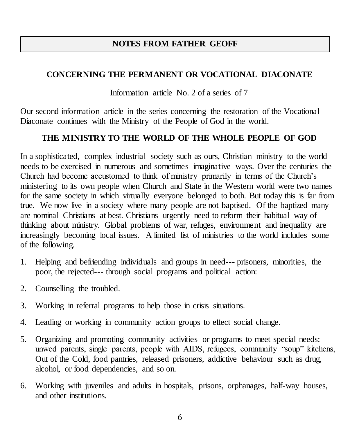## **NOTES FROM FATHER GEOFF**

## **CONCERNING THE PERMANENT OR VOCATIONAL DIACONATE**

Information article No. 2 of a series of 7

Our second information article in the series concerning the restoration of the Vocational Diaconate continues with the Ministry of the People of God in the world.

## **THE MINISTRY TO THE WORLD OF THE WHOLE PEOPLE OF GOD**

In a sophisticated, complex industrial society such as ours, Christian ministry to the world needs to be exercised in numerous and sometimes imaginative ways. Over the centuries the Church had become accustomed to think of ministry primarily in terms of the Church's ministering to its own people when Church and State in the Western world were two names for the same society in which virtually everyone belonged to both. But today this is far from true. We now live in a society where many people are not baptised. Of the baptized many are nominal Christians at best. Christians urgently need to reform their habitual way of thinking about ministry. Global problems of war, refuges, environment and inequality are increasingly becoming local issues. A limited list of ministries to the world includes some of the following.

- 1. Helping and befriending individuals and groups in need--- prisoners, minorities, the poor, the rejected--- through social programs and political action:
- 2. Counselling the troubled.
- 3. Working in referral programs to help those in crisis situations.
- 4. Leading or working in community action groups to effect social change.
- 5. Organizing and promoting community activities or programs to meet special needs: unwed parents, single parents, people with AIDS, refugees, community "soup" kitchens, Out of the Cold, food pantries, released prisoners, addictive behaviour such as drug, alcohol, or food dependencies, and so on.
- 6. Working with juveniles and adults in hospitals, prisons, orphanages, half-way houses, and other institutions.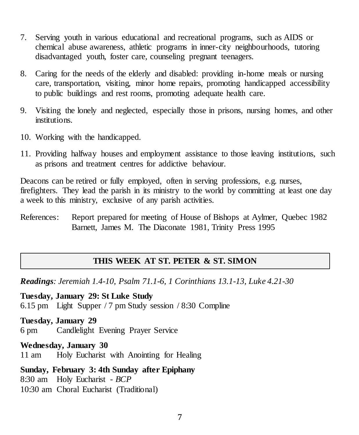- 7. Serving youth in various educational and recreational programs, such as AIDS or chemical abuse awareness, athletic programs in inner-city neighbourhoods, tutoring disadvantaged youth, foster care, counseling pregnant teenagers.
- 8. Caring for the needs of the elderly and disabled: providing in-home meals or nursing care, transportation, visiting, minor home repairs, promoting handicapped accessibility to public buildings and rest rooms, promoting adequate health care.
- 9. Visiting the lonely and neglected, especially those in prisons, nursing homes, and other institutions.
- 10. Working with the handicapped.
- 11. Providing halfway houses and employment assistance to those leaving institutions, such as prisons and treatment centres for addictive behaviour.

Deacons can be retired or fully employed, often in serving professions, e.g. nurses, firefighters. They lead the parish in its ministry to the world by committing at least one day a week to this ministry, exclusive of any parish activities.

References: Report prepared for meeting of House of Bishops at Aylmer, Quebec 1982 Barnett, James M. The Diaconate 1981, Trinity Press 1995

#### **THIS WEEK AT ST. PETER & ST. SIMON**

*Readings: Jeremiah 1.4-10, Psalm 71.1-6, 1 Corinthians 13.1-13, Luke 4.21-30*

**Tuesday, January 29: St Luke Study** 6.15 pm Light Supper / 7 pm Study session / 8:30 Compline

**Tuesday, January 29** 6 pm Candlelight Evening Prayer Service

**Wednesday, January 30** 11 am Holy Eucharist with Anointing for Healing

**Sunday, February 3: 4th Sunday after Epiphany** 8:30 am Holy Eucharist - *BCP* 10:30 am Choral Eucharist (Traditional)